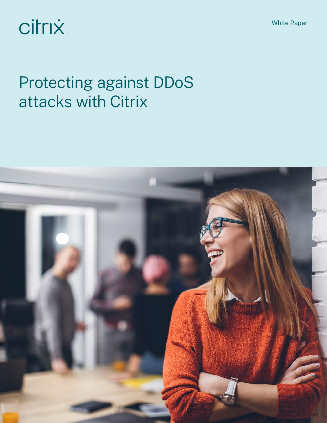White Paper

# citrix.

# Protecting against DDoS attacks with Citrix

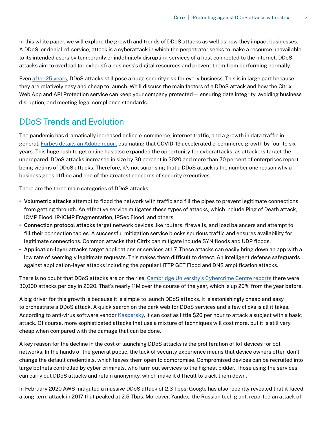In this white paper, we will explore the growth and trends of DDoS attacks as well as how they impact businesses. A DDoS, or denial-of-service, attack is a cyberattack in which the perpetrator seeks to make a resource unavailable to its intended users by temporarily or indefinitely disrupting services of a host connected to the internet. DDoS attacks aim to overload (or exhaust) a business's digital resources and prevent them from performing normally.

Even [after 25 years,](https://www.infosecurity-magazine.com/blogs/ddos-attacks-25th-anniversary-a/) DDoS attacks still pose a huge security risk for every business. This is in large part because they are relatively easy and cheap to launch. We'll discuss the main factors of a DDoS attack and how the Citrix Web App and API Protection service can keep your company protected— ensuring data integrity, avoiding business disruption, and meeting legal compliance standards.

### DDoS Trends and Evolution

The pandemic has dramatically increased online e-commerce, internet traffic, and a growth in data traffic in general. [Forbes details an Adobe report](https://www.forbes.com/sites/johnkoetsier/2020/06/12/covid-19-accelerated-e-commerce-growth-4-to-6-years/?sh=236d0ea8600f) estimating that COVID-19 accelerated e-commerce growth by four to six years. This huge rush to get online has also expanded the opportunity for cyberattacks, as attackers target the unprepared. DDoS attacks increased in size by 30 percent in 2020 and more than 70 percent of enterprises report being victims of DDoS attacks. Therefore, it's not surprising that a DDoS attack is the number one reason why a business goes offline and one of the greatest concerns of security executives.

There are the three main categories of DDoS attacks:

- **• Volumetric attacks** attempt to flood the network with traffic and fill the pipes to prevent legitimate connections from getting through. An effective service mitigates these types of attacks, which include Ping of Death attack, ICMP Flood, IP/ICMP Fragmentation, IPSec Flood, and others.
- **• Connection protocol attacks** target network devices like routers, firewalls, and load balancers and attempt to fill their connection tables. A successful mitigation service blocks spurious traffic and ensures availability for legitimate connections. Common attacks that Citrix can mitigate include SYN floods and UDP floods.
- **• Application-layer attacks** target applications or services at L7. These attacks can easily bring down an app with a low rate of seemingly legitimate requests. This makes them difficult to detect. An intelligent defense safeguards against application-layer attacks including the popular HTTP GET Flood and DNS amplification attacks.

There is no doubt that DDoS attacks are on the rise, [Cambridge University's Cybercrime Centre reports](https://www.cam.ac.uk/research/news/lockdown-helps-fuel-rise-in-cybercrime) there were 30,000 attacks per day in 2020. That's nearly 11M over the course of the year, which is up 20% from the year before.

A big driver for this growth is because it is simple to launch DDoS attacks. It is astonishingly cheap and easy to orchestrate a DDoS attack. A quick search on the dark web for DDoS services and a few clicks is all it takes. According to anti-virus software vendor [Kaspersky,](https://securelist.com/the-cost-of-launching-a-ddos-attack/77784/) it can cost as little \$20 per hour to attack a subject with a basic attack. Of course, more sophisticated attacks that use a mixture of techniques will cost more, but it is still very cheap when compared with the damage that can be done.

A key reason for the decline in the cost of launching DDoS attacks is the proliferation of IoT devices for bot networks. In the hands of the general public, the lack of security experience means that device owners often don't change the default credentials, which leaves them open to compromise. Compromised devices can be recruited into large botnets controlled by cyber criminals, who farm out services to the highest bidder. Those using the services can carry out DDoS attacks and retain anonymity, which make it difficult to track them down.

In February 2020 AWS mitigated a massive DDoS attack of 2.3 Tbps. Google has also recently revealed that it faced a long-term attack in 2017 that peaked at 2.5 Tbps. Moreover, Yandex, the Russian tech giant, reported an attack of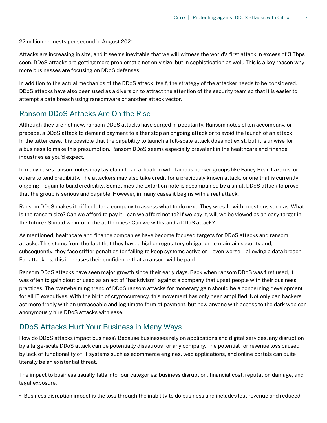22 million requests per second in August 2021.

Attacks are increasing in size, and it seems inevitable that we will witness the world's first attack in excess of 3 Tbps soon. DDoS attacks are getting more problematic not only size, but in sophistication as well. This is a key reason why more businesses are focusing on DDoS defenses.

In addition to the actual mechanics of the DDoS attack itself, the strategy of the attacker needs to be considered. DDoS attacks have also been used as a diversion to attract the attention of the security team so that it is easier to attempt a data breach using ransomware or another attack vector.

#### Ransom DDoS Attacks Are On the Rise

Although they are not new, ransom DDoS attacks have surged in popularity. Ransom notes often accompany, or precede, a DDoS attack to demand payment to either stop an ongoing attack or to avoid the launch of an attack. In the latter case, it is possible that the capability to launch a full-scale attack does not exist, but it is unwise for a business to make this presumption. Ransom DDoS seems especially prevalent in the healthcare and finance industries as you'd expect.

In many cases ransom notes may lay claim to an affiliation with famous hacker groups like Fancy Bear, Lazarus, or others to lend credibility. The attackers may also take credit for a previously known attack, or one that is currently ongoing – again to build credibility. Sometimes the extortion note is accompanied by a small DDoS attack to prove that the group is serious and capable. However, in many cases it begins with a real attack.

Ransom DDoS makes it difficult for a company to assess what to do next. They wrestle with questions such as: What is the ransom size? Can we afford to pay it - can we afford not to? If we pay it, will we be viewed as an easy target in the future? Should we inform the authorities? Can we withstand a DDoS attack?

As mentioned, healthcare and finance companies have become focused targets for DDoS attacks and ransom attacks. This stems from the fact that they have a higher regulatory obligation to maintain security and, subsequently, they face stiffer penalties for failing to keep systems active or – even worse – allowing a data breach. For attackers, this increases their confidence that a ransom will be paid.

Ransom DDoS attacks have seen major growth since their early days. Back when ransom DDoS was first used, it was often to gain clout or used as an act of "hacktivism" against a company that upset people with their business practices. The overwhelming trend of DDoS ransom attacks for monetary gain should be a concerning development for all IT executives. With the birth of cryptocurrency, this movement has only been amplified. Not only can hackers act more freely with an untraceable and legitimate form of payment, but now anyone with access to the dark web can anonymously hire DDoS attacks with ease.

#### DDoS Attacks Hurt Your Business in Many Ways

How do DDoS attacks impact business? Because businesses rely on applications and digital services, any disruption by a large-scale DDoS attack can be potentially disastrous for any company. The potential for revenue loss caused by lack of functionality of IT systems such as ecommerce engines, web applications, and online portals can quite literally be an existential threat.

The impact to business usually falls into four categories: business disruption, financial cost, reputation damage, and legal exposure.

• Business disruption impact is the loss through the inability to do business and includes lost revenue and reduced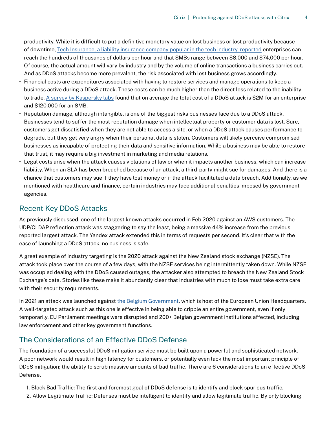productivity. While it is difficult to put a definitive monetary value on lost business or lost productivity because of downtime, [Tech Insurance, a liability insurance company popular in the tech industry, reported](https://www.techinsurance.com/resources/ddos-small-business-costs) enterprises can reach the hundreds of thousands of dollars per hour and that SMBs range between \$8,000 and \$74,000 per hour. Of course, the actual amount will vary by industry and by the volume of online transactions a business carries out. And as DDoS attacks become more prevalent, the risk associated with lost business grows accordingly.

- Financial costs are expenditures associated with having to restore services and manage operations to keep a business active during a DDoS attack. These costs can be much higher than the direct loss related to the inability to trade. [A survey by Kaspersky labs](https://usa.kaspersky.com/about/press-releases/2018_ddos-breach-costs-rise-to-over-2m-for-enterprises-finds-kaspersky-lab-report) found that on average the total cost of a DDoS attack is \$2M for an enterprise and \$120,000 for an SMB.
- Reputation damage, although intangible, is one of the biggest risks businesses face due to a DDoS attack. Businesses tend to suffer the most reputation damage when intellectual property or customer data is lost. Sure, customers get dissatisfied when they are not able to access a site, or when a DDoS attack causes performance to degrade, but they get very angry when their personal data is stolen. Customers will likely perceive compromised businesses as incapable of protecting their data and sensitive information. While a business may be able to restore that trust, it may require a big investment in marketing and media relations.
- Legal costs arise when the attack causes violations of law or when it impacts another business, which can increase liability. When an SLA has been breached because of an attack, a third-party might sue for damages. And there is a chance that customers may sue if they have lost money or if the attack facilitated a data breach. Additionally, as we mentioned with healthcare and finance, certain industries may face additional penalties imposed by government agencies.

#### Recent Key DDoS Attacks

As previously discussed, one of the largest known attacks occurred in Feb 2020 against an AWS customers. The UDP/CLDAP reflection attack was staggering to say the least, being a massive 44% increase from the previous reported largest attack. The Yandex attack extended this in terms of requests per second. It's clear that with the ease of launching a DDoS attack, no business is safe.

A great example of industry targeting is the 2020 attack against the New Zealand stock exchange (NZSE). The attack took place over the course of a few days, with the NZSE services being intermittently taken down. While NZSE was occupied dealing with the DDoS caused outages, the attacker also attempted to breach the New Zealand Stock Exchange's data. Stories like these make it abundantly clear that industries with much to lose must take extra care with their security requirements.

In 2021 an attack was launched against [the Belgium Government,](https://threatpost.com/ddos-disrupts-belgium/165911/) which is host of the European Union Headquarters. A well-targeted attack such as this one is effective in being able to cripple an entire government, even if only temporarily. EU Parliament meetings were disrupted and 200+ Belgian government institutions affected, including law enforcement and other key government functions.

#### The Considerations of an Effective DDoS Defense

The foundation of a successful DDoS mitigation service must be built upon a powerful and sophisticated network. A poor network would result in high latency for customers, or potentially even lack the most important principle of DDoS mitigation; the ability to scrub massive amounts of bad traffic. There are 6 considerations to an effective DDoS Defense.

- 1. Block Bad Traffic: The first and foremost goal of DDoS defense is to identify and block spurious traffic.
- 2. Allow Legitimate Traffic: Defenses must be intelligent to identify and allow legitimate traffic. By only blocking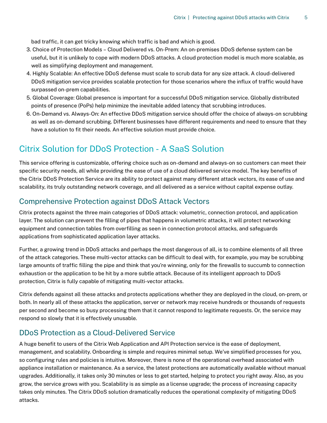bad traffic, it can get tricky knowing which traffic is bad and which is good.

- 3. Choice of Protection Models Cloud Delivered vs. On-Prem: An on-premises DDoS defense system can be useful, but it is unlikely to cope with modern DDoS attacks. A cloud protection model is much more scalable, as well as simplifying deployment and management.
- 4. Highly Scalable: An effective DDoS defense must scale to scrub data for any size attack. A cloud-delivered DDoS mitigation service provides scalable protection for those scenarios where the influx of traffic would have surpassed on-prem capabilities.
- 5. Global Coverage: Global presence is important for a successful DDoS mitigation service. Globally distributed points of presence (PoPs) help minimize the inevitable added latency that scrubbing introduces.
- 6. On-Demand vs. Always-On: An effective DDoS mitigation service should offer the choice of always-on scrubbing as well as on-demand scrubbing. Different businesses have different requirements and need to ensure that they have a solution to fit their needs. An effective solution must provide choice.

#### Citrix Solution for DDoS Protection - A SaaS Solution

This service offering is customizable, offering choice such as on-demand and always-on so customers can meet their specific security needs, all while providing the ease of use of a cloud delivered service model. The key benefits of the Citrix DDoS Protection Service are its ability to protect against many different attack vectors, its ease of use and scalability, its truly outstanding network coverage, and all delivered as a service without capital expense outlay.

#### Comprehensive Protection against DDoS Attack Vectors

Citrix protects against the three main categories of DDoS attack: volumetric, connection protocol, and application layer. The solution can prevent the filling of pipes that happens in volumetric attacks, it will protect networking equipment and connection tables from overfilling as seen in connection protocol attacks, and safeguards applications from sophisticated application layer attacks.

Further, a growing trend in DDoS attacks and perhaps the most dangerous of all, is to combine elements of all three of the attack categories. These multi-vector attacks can be difficult to deal with, for example, you may be scrubbing large amounts of traffic filling the pipe and think that you're winning, only for the firewalls to succumb to connection exhaustion or the application to be hit by a more subtle attack. Because of its intelligent approach to DDoS protection, Citrix is fully capable of mitigating multi-vector attacks.

Citrix defends against all these attacks and protects applications whether they are deployed in the cloud, on-prem, or both. In nearly all of these attacks the application, server or network may receive hundreds or thousands of requests per second and become so busy processing them that it cannot respond to legitimate requests. Or, the service may respond so slowly that it is effectively unusable.

#### DDoS Protection as a Cloud-Delivered Service

A huge benefit to users of the Citrix Web Application and API Protection service is the ease of deployment, management, and scalability. Onboarding is simple and requires minimal setup. We've simplified processes for you, so configuring rules and policies is intuitive. Moreover, there is none of the operational overhead associated with appliance installation or maintenance. As a service, the latest protections are automatically available without manual upgrades. Additionally, it takes only 30 minutes or less to get started, helping to protect you right away. Also, as you grow, the service grows with you. Scalability is as simple as a license upgrade; the process of increasing capacity takes only minutes. The Citrix DDoS solution dramatically reduces the operational complexity of mitigating DDoS attacks.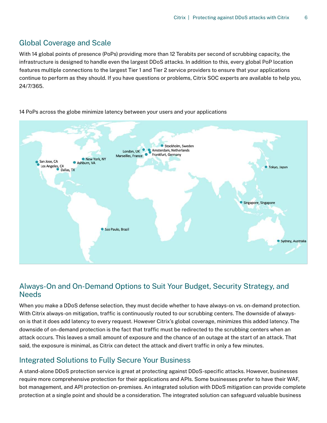#### Global Coverage and Scale

With 14 global points of presence (PoPs) providing more than 12 Terabits per second of scrubbing capacity, the infrastructure is designed to handle even the largest DDoS attacks. In addition to this, every global PoP location features multiple connections to the largest Tier 1 and Tier 2 service providers to ensure that your applications continue to perform as they should. If you have questions or problems, Citrix SOC experts are available to help you, 24/7/365.



14 PoPs across the globe minimize latency between your users and your applications

#### Always-On and On-Demand Options to Suit Your Budget, Security Strategy, and **Needs**

When you make a DDoS defense selection, they must decide whether to have always-on vs. on-demand protection. With Citrix always-on mitigation, traffic is continuously routed to our scrubbing centers. The downside of alwayson is that it does add latency to every request. However Citrix's global coverage, minimizes this added latency. The downside of on-demand protection is the fact that traffic must be redirected to the scrubbing centers when an attack occurs. This leaves a small amount of exposure and the chance of an outage at the start of an attack. That said, the exposure is minimal, as Citrix can detect the attack and divert traffic in only a few minutes.

#### Integrated Solutions to Fully Secure Your Business

A stand-alone DDoS protection service is great at protecting against DDoS-specific attacks. However, businesses require more comprehensive protection for their applications and APIs. Some businesses prefer to have their WAF, bot management, and API protection on-premises. An integrated solution with DDoS mitigation can provide complete protection at a single point and should be a consideration. The integrated solution can safeguard valuable business